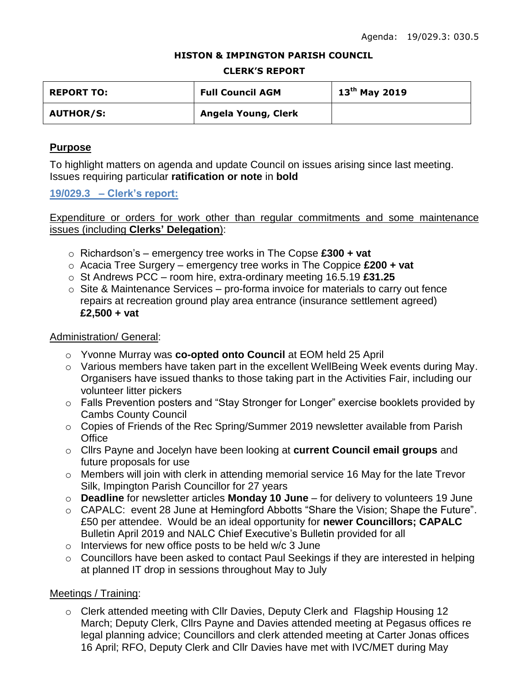#### **HISTON & IMPINGTON PARISH COUNCIL**

#### **CLERK'S REPORT**

| <b>REPORT TO:</b> | <b>Full Council AGM</b> | $13^{\text{th}}$ May 2019 |
|-------------------|-------------------------|---------------------------|
| <b>AUTHOR/S:</b>  | Angela Young, Clerk     |                           |

## **Purpose**

To highlight matters on agenda and update Council on issues arising since last meeting. Issues requiring particular **ratification or note** in **bold**

**19/029.3 – Clerk's report:**

Expenditure or orders for work other than regular commitments and some maintenance issues (including **Clerks' Delegation**):

- o Richardson's emergency tree works in The Copse **£300 + vat**
- o Acacia Tree Surgery emergency tree works in The Coppice **£200 + vat**
- o St Andrews PCC room hire, extra-ordinary meeting 16.5.19 **£31.25**
- $\circ$  Site & Maintenance Services pro-forma invoice for materials to carry out fence repairs at recreation ground play area entrance (insurance settlement agreed) **£2,500 + vat**

### Administration/ General:

- o Yvonne Murray was **co-opted onto Council** at EOM held 25 April
- o Various members have taken part in the excellent WellBeing Week events during May. Organisers have issued thanks to those taking part in the Activities Fair, including our volunteer litter pickers
- o Falls Prevention posters and "Stay Stronger for Longer" exercise booklets provided by Cambs County Council
- o Copies of Friends of the Rec Spring/Summer 2019 newsletter available from Parish **Office**
- o Cllrs Payne and Jocelyn have been looking at **current Council email groups** and future proposals for use
- o Members will join with clerk in attending memorial service 16 May for the late Trevor Silk, Impington Parish Councillor for 27 years
- o **Deadline** for newsletter articles **Monday 10 June** for delivery to volunteers 19 June
- o CAPALC: event 28 June at Hemingford Abbotts "Share the Vision; Shape the Future". £50 per attendee. Would be an ideal opportunity for **newer Councillors; CAPALC**  Bulletin April 2019 and NALC Chief Executive's Bulletin provided for all
- o Interviews for new office posts to be held w/c 3 June
- o Councillors have been asked to contact Paul Seekings if they are interested in helping at planned IT drop in sessions throughout May to July

## Meetings / Training:

o Clerk attended meeting with Cllr Davies, Deputy Clerk and Flagship Housing 12 March; Deputy Clerk, Cllrs Payne and Davies attended meeting at Pegasus offices re legal planning advice; Councillors and clerk attended meeting at Carter Jonas offices 16 April; RFO, Deputy Clerk and Cllr Davies have met with IVC/MET during May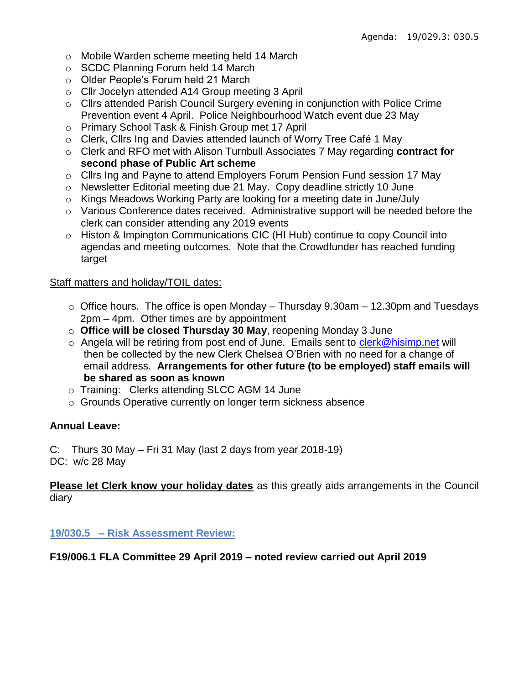- o Mobile Warden scheme meeting held 14 March
- o SCDC Planning Forum held 14 March
- o Older People's Forum held 21 March
- o Cllr Jocelyn attended A14 Group meeting 3 April
- o Cllrs attended Parish Council Surgery evening in conjunction with Police Crime Prevention event 4 April. Police Neighbourhood Watch event due 23 May
- o Primary School Task & Finish Group met 17 April
- o Clerk, Cllrs Ing and Davies attended launch of Worry Tree Café 1 May
- o Clerk and RFO met with Alison Turnbull Associates 7 May regarding **contract for second phase of Public Art scheme**
- o Cllrs Ing and Payne to attend Employers Forum Pension Fund session 17 May
- o Newsletter Editorial meeting due 21 May. Copy deadline strictly 10 June
- o Kings Meadows Working Party are looking for a meeting date in June/July
- o Various Conference dates received. Administrative support will be needed before the clerk can consider attending any 2019 events
- o Histon & Impington Communications CIC (HI Hub) continue to copy Council into agendas and meeting outcomes. Note that the Crowdfunder has reached funding target

## Staff matters and holiday/TOIL dates:

- $\circ$  Office hours. The office is open Monday Thursday 9.30am 12.30pm and Tuesdays 2pm – 4pm. Other times are by appointment
- o **Office will be closed Thursday 30 May**, reopening Monday 3 June
- o Angela will be retiring from post end of June. Emails sent to [clerk@hisimp.net](mailto:clerk@hisimp.net) will then be collected by the new Clerk Chelsea O'Brien with no need for a change of email address. **Arrangements for other future (to be employed) staff emails will be shared as soon as known**
- o Training: Clerks attending SLCC AGM 14 June
- o Grounds Operative currently on longer term sickness absence

# **Annual Leave:**

C: Thurs 30 May – Fri 31 May (last 2 days from year 2018-19) DC: w/c 28 May

**Please let Clerk know your holiday dates** as this greatly aids arrangements in the Council diary

**19/030.5 – Risk Assessment Review:**

# **F19/006.1 FLA Committee 29 April 2019 – noted review carried out April 2019**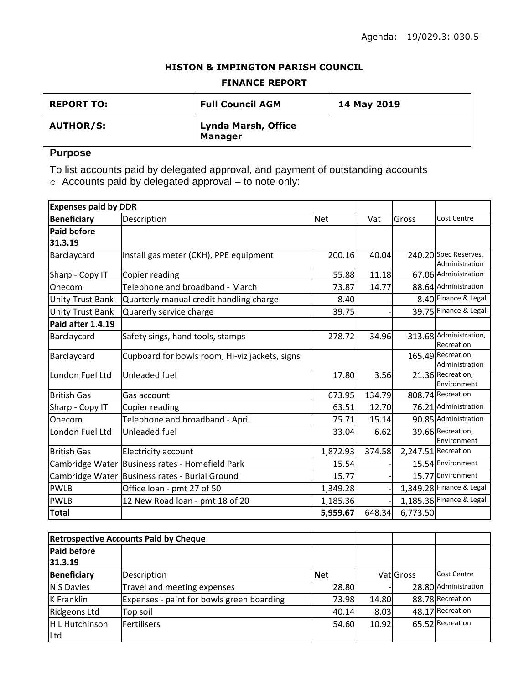### **HISTON & IMPINGTON PARISH COUNCIL**

### **FINANCE REPORT**

| <b>REPORT TO:</b> | <b>Full Council AGM</b>                      | 14 May 2019 |
|-------------------|----------------------------------------------|-------------|
| <b>AUTHOR/S:</b>  | <b>Lynda Marsh, Office</b><br><b>Manager</b> |             |

## **Purpose**

To list accounts paid by delegated approval, and payment of outstanding accounts

 $\circ$  Accounts paid by delegated approval – to note only:

| <b>Expenses paid by DDR</b> |                                                 |            |        |          |                                         |
|-----------------------------|-------------------------------------------------|------------|--------|----------|-----------------------------------------|
| <b>Beneficiary</b>          | Description                                     | <b>Net</b> | Vat    | Gross    | <b>Cost Centre</b>                      |
| <b>Paid before</b>          |                                                 |            |        |          |                                         |
| 31.3.19                     |                                                 |            |        |          |                                         |
| Barclaycard                 | Install gas meter (CKH), PPE equipment          | 200.16     | 40.04  |          | 240.20 Spec Reserves,<br>Administration |
| Sharp - Copy IT             | Copier reading                                  | 55.88      | 11.18  |          | 67.06 Administration                    |
| Onecom                      | Telephone and broadband - March                 | 73.87      | 14.77  |          | 88.64 Administration                    |
| <b>Unity Trust Bank</b>     | Quarterly manual credit handling charge         | 8.40       |        |          | 8.40 Finance & Legal                    |
| <b>Unity Trust Bank</b>     | Quarerly service charge                         | 39.75      |        |          | 39.75 Finance & Legal                   |
| Paid after 1.4.19           |                                                 |            |        |          |                                         |
| Barclaycard                 | Safety sings, hand tools, stamps                | 278.72     | 34.96  |          | 313.68 Administration,<br>Recreation    |
| Barclaycard                 | Cupboard for bowls room, Hi-viz jackets, signs  |            |        |          | 165.49 Recreation,<br>Administration    |
| London Fuel Ltd             | Unleaded fuel                                   | 17.80      | 3.56   |          | 21.36 Recreation,<br>Environment        |
| <b>British Gas</b>          | Gas account                                     | 673.95     | 134.79 |          | 808.74 Recreation                       |
| Sharp - Copy IT             | Copier reading                                  | 63.51      | 12.70  |          | 76.21 Administration                    |
| Onecom                      | Telephone and broadband - April                 | 75.71      | 15.14  |          | 90.85 Administration                    |
| London Fuel Ltd             | Unleaded fuel                                   | 33.04      | 6.62   |          | 39.66 Recreation,<br>Environment        |
| <b>British Gas</b>          | <b>Electricity account</b>                      | 1,872.93   | 374.58 |          | 2,247.51 Recreation                     |
|                             | Cambridge Water Business rates - Homefield Park | 15.54      |        |          | 15.54 Environment                       |
|                             | Cambridge Water Business rates - Burial Ground  | 15.77      |        |          | 15.77 Environment                       |
| <b>PWLB</b>                 | Office loan - pmt 27 of 50                      | 1,349.28   |        |          | 1,349.28 Finance & Legal                |
| <b>PWLB</b>                 | 12 New Road loan - pmt 18 of 20                 | 1,185.36   |        |          | 1,185.36 Finance & Legal                |
| <b>Total</b>                |                                                 | 5,959.67   | 648.34 | 6,773.50 |                                         |

| <b>Retrospective Accounts Paid by Cheque</b> |                                           |            |       |           |                      |
|----------------------------------------------|-------------------------------------------|------------|-------|-----------|----------------------|
| <b>Paid before</b>                           |                                           |            |       |           |                      |
| 31.3.19                                      |                                           |            |       |           |                      |
| Beneficiary                                  | Description                               | <b>Net</b> |       | Vat Gross | Cost Centre          |
| N S Davies                                   | Travel and meeting expenses               | 28.80      |       |           | 28.80 Administration |
| <b>K</b> Franklin                            | Expenses - paint for bowls green boarding | 73.98      | 14.80 |           | 88.78 Recreation     |
| Ridgeons Ltd                                 | Top soil                                  | 40.14      | 8.03  |           | 48.17 Recreation     |
| H L Hutchinson                               | <b>Fertilisers</b>                        | 54.60      | 10.92 |           | 65.52 Recreation     |
| Ltd                                          |                                           |            |       |           |                      |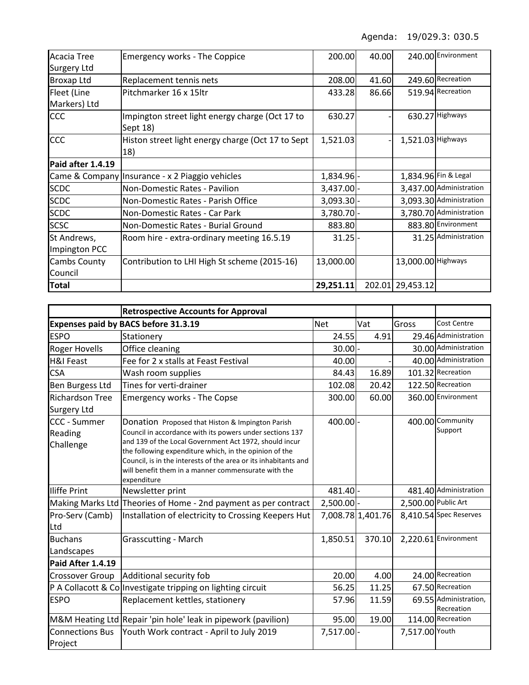| <b>Acacia Tree</b> | <b>Emergency works - The Coppice</b>                        | 200.00       | 40.00 |                    | 240.00 Environment      |
|--------------------|-------------------------------------------------------------|--------------|-------|--------------------|-------------------------|
| <b>Surgery Ltd</b> |                                                             |              |       |                    |                         |
| <b>Broxap Ltd</b>  | Replacement tennis nets                                     | 208.00       | 41.60 |                    | 249.60 Recreation       |
| Fleet (Line        | Pitchmarker 16 x 15ltr                                      | 433.28       | 86.66 |                    | 519.94 Recreation       |
| Markers) Ltd       |                                                             |              |       |                    |                         |
| <b>CCC</b>         | Impington street light energy charge (Oct 17 to<br>Sept 18) | 630.27       |       |                    | 630.27 Highways         |
| <b>CCC</b>         | Histon street light energy charge (Oct 17 to Sept<br>18)    | 1,521.03     |       | 1,521.03 Highways  |                         |
| Paid after 1.4.19  |                                                             |              |       |                    |                         |
|                    | Came & Company   Insurance - x 2 Piaggio vehicles           | 1,834.96 -   |       |                    | 1,834.96 Fin & Legal    |
| <b>SCDC</b>        | Non-Domestic Rates - Pavilion                               | $3,437.00$ - |       |                    | 3,437.00 Administration |
| <b>SCDC</b>        | Non-Domestic Rates - Parish Office                          | $3,093.30$ - |       |                    | 3,093.30 Administration |
| <b>SCDC</b>        | Non-Domestic Rates - Car Park                               | 3,780.70 -   |       |                    | 3,780.70 Administration |
| <b>SCSC</b>        | Non-Domestic Rates - Burial Ground                          | 883.80       |       |                    | 883.80 Environment      |
| St Andrews,        | Room hire - extra-ordinary meeting 16.5.19                  | $31.25 -$    |       |                    | 31.25 Administration    |
| Impington PCC      |                                                             |              |       |                    |                         |
| Cambs County       | Contribution to LHI High St scheme (2015-16)                | 13,000.00    |       | 13,000.00 Highways |                         |
| Council            |                                                             |              |       |                    |                         |
| <b>Total</b>       |                                                             | 29,251.11    |       | 202.01 29,453.12   |                         |

| <b>Retrospective Accounts for Approval</b>   |                                                                                                                                                                                                                                                                                                                                                                           |              |                   |                     |                                     |
|----------------------------------------------|---------------------------------------------------------------------------------------------------------------------------------------------------------------------------------------------------------------------------------------------------------------------------------------------------------------------------------------------------------------------------|--------------|-------------------|---------------------|-------------------------------------|
|                                              | Expenses paid by BACS before 31.3.19                                                                                                                                                                                                                                                                                                                                      | <b>Net</b>   | Vat               | Gross               | Cost Centre                         |
| <b>ESPO</b>                                  | Stationery                                                                                                                                                                                                                                                                                                                                                                | 24.55        | 4.91              |                     | 29.46 Administration                |
| <b>Roger Hovells</b>                         | Office cleaning                                                                                                                                                                                                                                                                                                                                                           | $30.00$ -    |                   |                     | 30.00 Administration                |
| <b>H&amp;I Feast</b>                         | Fee for 2 x stalls at Feast Festival                                                                                                                                                                                                                                                                                                                                      | 40.00        |                   |                     | 40.00 Administration                |
| <b>CSA</b>                                   | Wash room supplies                                                                                                                                                                                                                                                                                                                                                        | 84.43        | 16.89             |                     | 101.32 Recreation                   |
| <b>Ben Burgess Ltd</b>                       | Tines for verti-drainer                                                                                                                                                                                                                                                                                                                                                   | 102.08       | 20.42             |                     | 122.50 Recreation                   |
| <b>Richardson Tree</b><br><b>Surgery Ltd</b> | <b>Emergency works - The Copse</b>                                                                                                                                                                                                                                                                                                                                        | 300.00       | 60.00             |                     | 360.00 Environment                  |
| <b>CCC - Summer</b><br>Reading<br>Challenge  | Donation Proposed that Histon & Impington Parish<br>Council in accordance with its powers under sections 137<br>and 139 of the Local Government Act 1972, should incur<br>the following expenditure which, in the opinion of the<br>Council, is in the interests of the area or its inhabitants and<br>will benefit them in a manner commensurate with the<br>expenditure | $400.00$ -   |                   |                     | 400.00 Community<br>Support         |
| Iliffe Print                                 | Newsletter print                                                                                                                                                                                                                                                                                                                                                          | 481.40 -     |                   |                     | 481.40 Administration               |
|                                              | Making Marks Ltd Theories of Home - 2nd payment as per contract                                                                                                                                                                                                                                                                                                           | $2,500.00$ - |                   | 2,500.00 Public Art |                                     |
| Pro-Serv (Camb)<br>Ltd                       | Installation of electricity to Crossing Keepers Hut                                                                                                                                                                                                                                                                                                                       |              | 7,008.78 1,401.76 |                     | 8,410.54 Spec Reserves              |
| <b>Buchans</b><br>Landscapes                 | <b>Grasscutting - March</b>                                                                                                                                                                                                                                                                                                                                               | 1,850.51     | 370.10            |                     | 2,220.61 Environment                |
| Paid After 1.4.19                            |                                                                                                                                                                                                                                                                                                                                                                           |              |                   |                     |                                     |
| <b>Crossover Group</b>                       | Additional security fob                                                                                                                                                                                                                                                                                                                                                   | 20.00        | 4.00              |                     | 24.00 Recreation                    |
|                                              | P A Collacott & Colnvestigate tripping on lighting circuit                                                                                                                                                                                                                                                                                                                | 56.25        | 11.25             |                     | 67.50 Recreation                    |
| <b>ESPO</b>                                  | Replacement kettles, stationery                                                                                                                                                                                                                                                                                                                                           | 57.96        | 11.59             |                     | 69.55 Administration,<br>Recreation |
|                                              | M&M Heating Ltd Repair 'pin hole' leak in pipework (pavilion)                                                                                                                                                                                                                                                                                                             | 95.00        | 19.00             |                     | 114.00 Recreation                   |
| <b>Connections Bus</b><br>Project            | Youth Work contract - April to July 2019                                                                                                                                                                                                                                                                                                                                  | 7,517.00 -   |                   | 7,517.00 Youth      |                                     |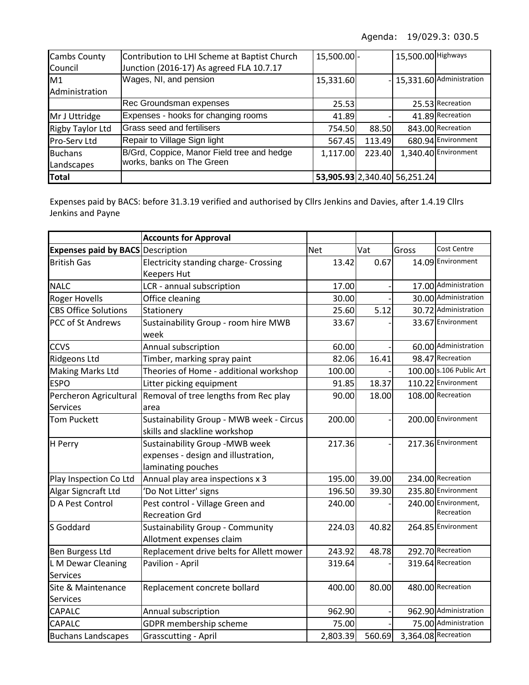| <b>Cambs County</b>     | Contribution to LHI Scheme at Baptist Church | 15,500.00 - |        | 15,500.00 Highways           |                              |
|-------------------------|----------------------------------------------|-------------|--------|------------------------------|------------------------------|
| Council                 | Junction (2016-17) As agreed FLA 10.7.17     |             |        |                              |                              |
| M1                      | Wages, NI, and pension                       | 15,331.60   |        |                              | $-$ 15,331.60 Administration |
| Administration          |                                              |             |        |                              |                              |
|                         | Rec Groundsman expenses                      | 25.53       |        |                              | 25.53 Recreation             |
| Mr J Uttridge           | Expenses - hooks for changing rooms          | 41.89       |        |                              | 41.89 Recreation             |
| <b>Rigby Taylor Ltd</b> | Grass seed and fertilisers                   | 754.50      | 88.50  |                              | 843.00 Recreation            |
| <b>Pro-Serv Ltd</b>     | Repair to Village Sign light                 | 567.45      | 113.49 |                              | 680.94 Environment           |
| <b>Buchans</b>          | B/Grd, Coppice, Manor Field tree and hedge   | 1,117.00    | 223.40 |                              | 1,340.40 Environment         |
| Landscapes              | works, banks on The Green                    |             |        |                              |                              |
| Total                   |                                              |             |        | 53,905.93 2,340.40 56,251.24 |                              |

Expenses paid by BACS: before 31.3.19 verified and authorised by Cllrs Jenkins and Davies, after 1.4.19 Cllrs Jenkins and Payne

|                                          | <b>Accounts for Approval</b>                 |            |        |       |                         |
|------------------------------------------|----------------------------------------------|------------|--------|-------|-------------------------|
| <b>Expenses paid by BACS Description</b> |                                              | <b>Net</b> | Vat    | Gross | Cost Centre             |
| <b>British Gas</b>                       | <b>Electricity standing charge- Crossing</b> | 13.42      | 0.67   |       | 14.09 Environment       |
|                                          | <b>Keepers Hut</b>                           |            |        |       |                         |
| <b>NALC</b>                              | LCR - annual subscription                    | 17.00      |        |       | 17.00 Administration    |
| <b>Roger Hovells</b>                     | Office cleaning                              | 30.00      |        |       | 30.00 Administration    |
| <b>CBS Office Solutions</b>              | Stationery                                   | 25.60      | 5.12   |       | 30.72 Administration    |
| PCC of St Andrews                        | Sustainability Group - room hire MWB         | 33.67      |        |       | 33.67 Environment       |
|                                          | week                                         |            |        |       |                         |
| <b>CCVS</b>                              | Annual subscription                          | 60.00      |        |       | 60.00 Administration    |
| <b>Ridgeons Ltd</b>                      | Timber, marking spray paint                  | 82.06      | 16.41  |       | 98.47 Recreation        |
| <b>Making Marks Ltd</b>                  | Theories of Home - additional workshop       | 100.00     |        |       | 100.00 s.106 Public Art |
| <b>ESPO</b>                              | Litter picking equipment                     | 91.85      | 18.37  |       | 110.22 Environment      |
| Percheron Agricultural                   | Removal of tree lengths from Rec play        | 90.00      | 18.00  |       | 108.00 Recreation       |
| Services                                 | area                                         |            |        |       |                         |
| <b>Tom Puckett</b>                       | Sustainability Group - MWB week - Circus     | 200.00     |        |       | 200.00 Environment      |
|                                          | skills and slackline workshop                |            |        |       |                         |
| H Perry                                  | Sustainability Group - MWB week              | 217.36     |        |       | 217.36 Environment      |
|                                          | expenses - design and illustration,          |            |        |       |                         |
|                                          | laminating pouches                           |            |        |       |                         |
| Play Inspection Co Ltd                   | Annual play area inspections x 3             | 195.00     | 39.00  |       | 234.00 Recreation       |
| Algar Signcraft Ltd                      | 'Do Not Litter' signs                        | 196.50     | 39.30  |       | 235.80 Environment      |
| D A Pest Control                         | Pest control - Village Green and             | 240.00     |        |       | 240.00 Environment,     |
|                                          | <b>Recreation Grd</b>                        |            |        |       | Recreation              |
| S Goddard                                | Sustainability Group - Community             | 224.03     | 40.82  |       | 264.85 Environment      |
|                                          | Allotment expenses claim                     |            |        |       |                         |
| <b>Ben Burgess Ltd</b>                   | Replacement drive belts for Allett mower     | 243.92     | 48.78  |       | 292.70 Recreation       |
| L M Dewar Cleaning                       | Pavilion - April                             | 319.64     |        |       | 319.64 Recreation       |
| <b>Services</b>                          |                                              |            |        |       |                         |
| Site & Maintenance                       | Replacement concrete bollard                 | 400.00     | 80.00  |       | 480.00 Recreation       |
| <b>Services</b>                          |                                              |            |        |       |                         |
| CAPALC                                   | Annual subscription                          | 962.90     |        |       | 962.90 Administration   |
| CAPALC                                   | GDPR membership scheme                       | 75.00      |        |       | 75.00 Administration    |
| <b>Buchans Landscapes</b>                | <b>Grasscutting - April</b>                  | 2,803.39   | 560.69 |       | 3,364.08 Recreation     |